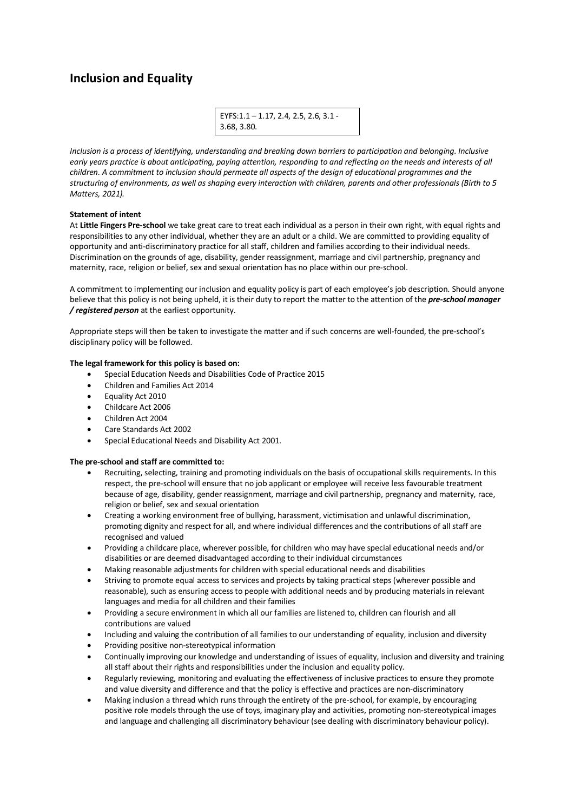# **Inclusion and Equality**

EYFS:1.1 – 1.17, 2.4, 2.5, 2.6, 3.1 - 3.68, 3.80.

*Inclusion is a process of identifying, understanding and breaking down barriers to participation and belonging. Inclusive early years practice is about anticipating, paying attention, responding to and reflecting on the needs and interests of all children. A commitment to inclusion should permeate all aspects of the design of educational programmes and the structuring of environments, as well as shaping every interaction with children, parents and other professionals (Birth to 5 Matters, 2021).*

## **Statement of intent**

At **Little Fingers Pre-school** we take great care to treat each individual as a person in their own right, with equal rights and responsibilities to any other individual, whether they are an adult or a child. We are committed to providing equality of opportunity and anti-discriminatory practice for all staff, children and families according to their individual needs. Discrimination on the grounds of age, disability, gender reassignment, marriage and civil partnership, pregnancy and maternity, race, religion or belief, sex and sexual orientation has no place within our pre-school.

A commitment to implementing our inclusion and equality policy is part of each employee's job description. Should anyone believe that this policy is not being upheld, it is their duty to report the matter to the attention of the *pre-school manager / registered person* at the earliest opportunity.

Appropriate steps will then be taken to investigate the matter and if such concerns are well-founded, the pre-school's disciplinary policy will be followed.

## **The legal framework for this policy is based on:**

- Special Education Needs and Disabilities Code of Practice 2015
- Children and Families Act 2014
- Equality Act 2010
- Childcare Act 2006
- Children Act 2004
- Care Standards Act 2002
- Special Educational Needs and Disability Act 2001.

## **The pre-school and staff are committed to:**

- Recruiting, selecting, training and promoting individuals on the basis of occupational skills requirements. In this respect, the pre-school will ensure that no job applicant or employee will receive less favourable treatment because of age, disability, gender reassignment, marriage and civil partnership, pregnancy and maternity, race, religion or belief, sex and sexual orientation
- Creating a working environment free of bullying, harassment, victimisation and unlawful discrimination, promoting dignity and respect for all, and where individual differences and the contributions of all staff are recognised and valued
- Providing a childcare place, wherever possible, for children who may have special educational needs and/or disabilities or are deemed disadvantaged according to their individual circumstances
- Making reasonable adjustments for children with special educational needs and disabilities
- Striving to promote equal access to services and projects by taking practical steps (wherever possible and reasonable), such as ensuring access to people with additional needs and by producing materials in relevant languages and media for all children and their families
- Providing a secure environment in which all our families are listened to, children can flourish and all contributions are valued
- Including and valuing the contribution of all families to our understanding of equality, inclusion and diversity
- Providing positive non-stereotypical information
- Continually improving our knowledge and understanding of issues of equality, inclusion and diversity and training all staff about their rights and responsibilities under the inclusion and equality policy.
- Regularly reviewing, monitoring and evaluating the effectiveness of inclusive practices to ensure they promote and value diversity and difference and that the policy is effective and practices are non-discriminatory
- Making inclusion a thread which runs through the entirety of the pre-school, for example, by encouraging positive role models through the use of toys, imaginary play and activities, promoting non-stereotypical images and language and challenging all discriminatory behaviour (see dealing with discriminatory behaviour policy).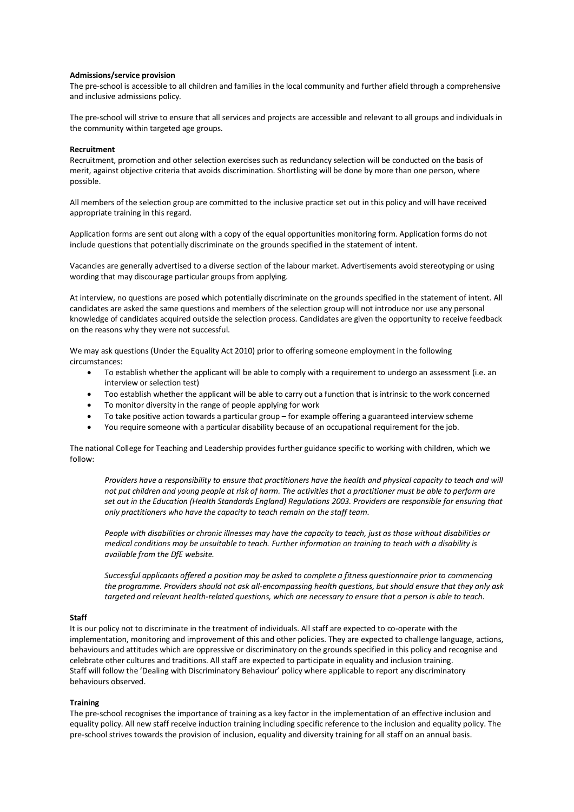### **Admissions/service provision**

The pre-school is accessible to all children and families in the local community and further afield through a comprehensive and inclusive admissions policy.

The pre-school will strive to ensure that all services and projects are accessible and relevant to all groups and individuals in the community within targeted age groups.

#### **Recruitment**

Recruitment, promotion and other selection exercises such as redundancy selection will be conducted on the basis of merit, against objective criteria that avoids discrimination. Shortlisting will be done by more than one person, where possible.

All members of the selection group are committed to the inclusive practice set out in this policy and will have received appropriate training in this regard.

Application forms are sent out along with a copy of the equal opportunities monitoring form. Application forms do not include questions that potentially discriminate on the grounds specified in the statement of intent.

Vacancies are generally advertised to a diverse section of the labour market. Advertisements avoid stereotyping or using wording that may discourage particular groups from applying.

At interview, no questions are posed which potentially discriminate on the grounds specified in the statement of intent. All candidates are asked the same questions and members of the selection group will not introduce nor use any personal knowledge of candidates acquired outside the selection process. Candidates are given the opportunity to receive feedback on the reasons why they were not successful.

We may ask questions (Under the Equality Act 2010) prior to offering someone employment in the following circumstances:

- To establish whether the applicant will be able to comply with a requirement to undergo an assessment (i.e. an interview or selection test)
- Too establish whether the applicant will be able to carry out a function that is intrinsic to the work concerned
- To monitor diversity in the range of people applying for work
- To take positive action towards a particular group for example offering a guaranteed interview scheme
- You require someone with a particular disability because of an occupational requirement for the job.

The national College for Teaching and Leadership provides further guidance specific to working with children, which we follow:

*Providers have a responsibility to ensure that practitioners have the health and physical capacity to teach and will not put children and young people at risk of harm. The activities that a practitioner must be able to perform are set out in the Education (Health Standards England) Regulations 2003. Providers are responsible for ensuring that only practitioners who have the capacity to teach remain on the staff team.*

*People with disabilities or chronic illnesses may have the capacity to teach, just as those without disabilities or medical conditions may be unsuitable to teach. Further information on training to teach with a disability is available from the DfE website.*

*Successful applicants offered a position may be asked to complete a fitness questionnaire prior to commencing the programme. Providers should not ask all-encompassing health questions, but should ensure that they only ask targeted and relevant health-related questions, which are necessary to ensure that a person is able to teach.*

### **Staff**

It is our policy not to discriminate in the treatment of individuals. All staff are expected to co-operate with the implementation, monitoring and improvement of this and other policies. They are expected to challenge language, actions, behaviours and attitudes which are oppressive or discriminatory on the grounds specified in this policy and recognise and celebrate other cultures and traditions. All staff are expected to participate in equality and inclusion training. Staff will follow the 'Dealing with Discriminatory Behaviour' policy where applicable to report any discriminatory behaviours observed.

### **Training**

The pre-school recognises the importance of training as a key factor in the implementation of an effective inclusion and equality policy. All new staff receive induction training including specific reference to the inclusion and equality policy. The pre-school strives towards the provision of inclusion, equality and diversity training for all staff on an annual basis.